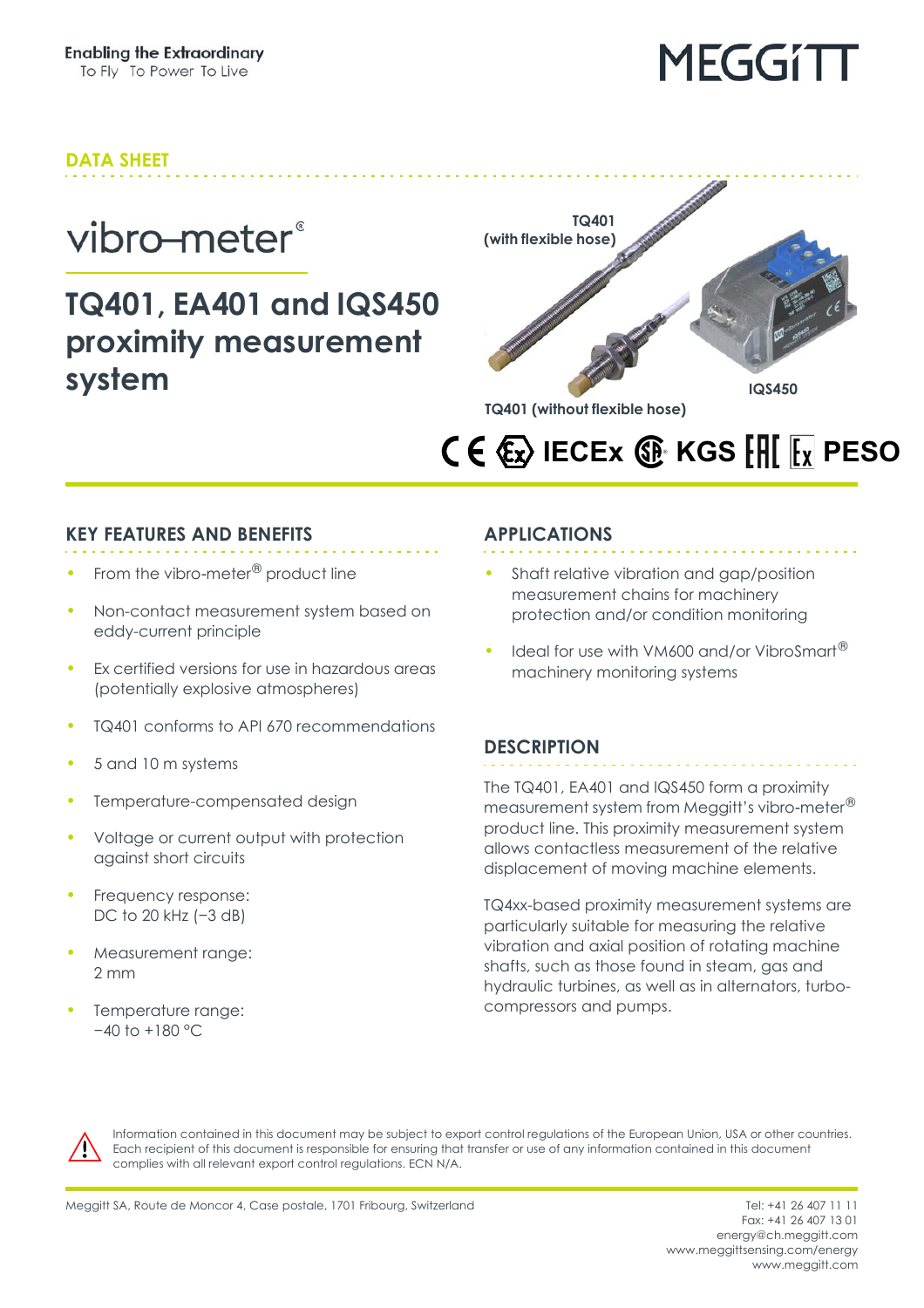#### **DATA SHEET**

### vibro-meter®

### **TQ401, EA401 and IQS450 proximity measurement system**



### **IECEX**  $\circledR$  **KGS**  $\circledR$  **<b>FRICES**

#### **KEY FEATURES AND BENEFITS**

- From the vibro-meter<sup>®</sup> product line
- Non-contact measurement system based on eddy-current principle
- Ex certified versions for use in hazardous areas (potentially explosive atmospheres)
- TQ401 conforms to API 670 recommendations
- 5 and 10 m systems
- Temperature-compensated design
- Voltage or current output with protection against short circuits
- Frequency response: DC to 20 kHz (-3 dB)
- Measurement range: 2 mm
- Temperature range: −40 to +180 °C

#### **APPLICATIONS**

- Shaft relative vibration and gap/position measurement chains for machinery protection and/or condition monitoring
- Ideal for use with VM600 and/or VibroSmart<sup>®</sup> machinery monitoring systems

#### **DESCRIPTION**

The TQ401, EA401 and IQS450 form a proximity measurement system from Meggitt's vibro-meter® product line. This proximity measurement system allows contactless measurement of the relative displacement of moving machine elements.

TQ4xx-based proximity measurement systems are particularly suitable for measuring the relative vibration and axial position of rotating machine shafts, such as those found in steam, gas and hydraulic turbines, as well as in alternators, turbocompressors and pumps.



Information contained in this document may be subject to export control regulations of the European Union, USA or other countries. Each recipient of this document is responsible for ensuring that transfer or use of any information contained in this document complies with all relevant export control regulations. ECN N/A.

Fax: +41 26 407 13 01 energy@ch.meggitt.com [www.meggittsensing.com/energy](http://www.meggittsensing.com/energy) [www.meggitt.com](http://www.meggitt.com)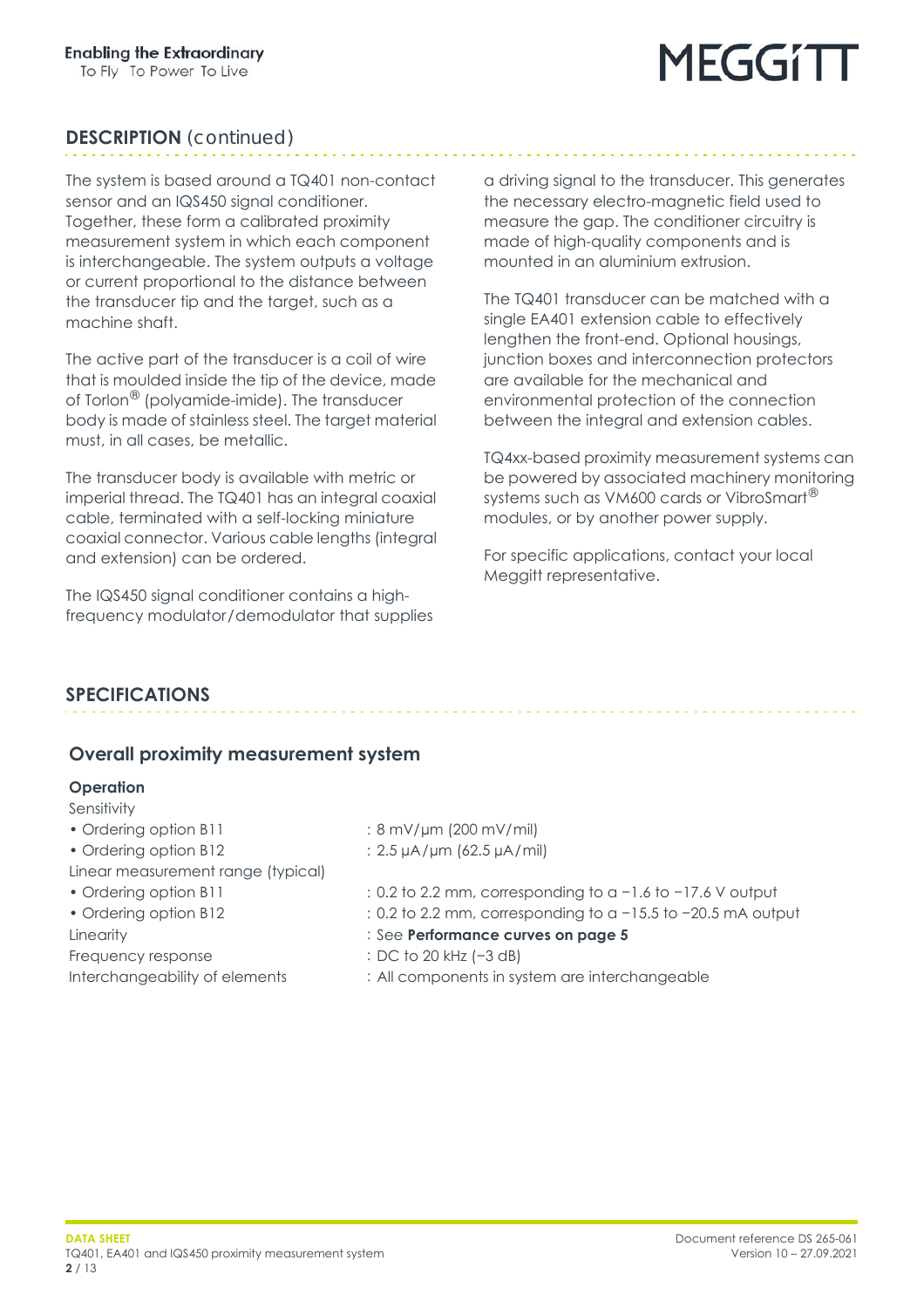## MEGGITI

#### **DESCRIPTION** *(continued)*

The system is based around a TQ401 non-contact sensor and an IQS450 signal conditioner. Together, these form a calibrated proximity measurement system in which each component is interchangeable. The system outputs a voltage or current proportional to the distance between the transducer tip and the target, such as a machine shaft.

The active part of the transducer is a coil of wire that is moulded inside the tip of the device, made of Torlon® (polyamide-imide). The transducer body is made of stainless steel. The target material must, in all cases, be metallic.

The transducer body is available with metric or imperial thread. The TQ401 has an integral coaxial cable, terminated with a self-locking miniature coaxial connector. Various cable lengths (integral and extension) can be ordered.

The IQS450 signal conditioner contains a highfrequency modulator/demodulator that supplies a driving signal to the transducer. This generates the necessary electro-magnetic field used to measure the gap. The conditioner circuitry is made of high-quality components and is mounted in an aluminium extrusion.

The TQ401 transducer can be matched with a single EA401 extension cable to effectively lengthen the front-end. Optional housings, junction boxes and interconnection protectors are available for the mechanical and environmental protection of the connection between the integral and extension cables.

TQ4xx-based proximity measurement systems can be powered by associated machinery monitoring systems such as VM600 cards or VibroSmart<sup>®</sup> modules, or by another power supply.

For specific applications, contact your local Meggitt representative.

#### **SPECIFICATIONS**

#### **Overall proximity measurement system**

#### **Operation**

- Sensitivity
- 
- 
- Linear measurement range (typical)
- 
- 

Frequency response : DC to 20 kHz (−3 dB)

- 
- Ordering option B11 : 8 mV/um (200 mV/mil)
- Ordering option B12 : 2.5 µA/µm (62.5 µA/mil)
- Ordering option B11 : 0.2 to 2.2 mm, corresponding to a −1.6 to −17.6 V output
- Ordering option B12 : 0.2 to 2.2 mm, corresponding to a −15.5 to −20.5 mA output
- Linearity : See **Performance curves [on page](#page-4-0) 5**
	-
- Interchangeability of elements : All components in system are interchangeable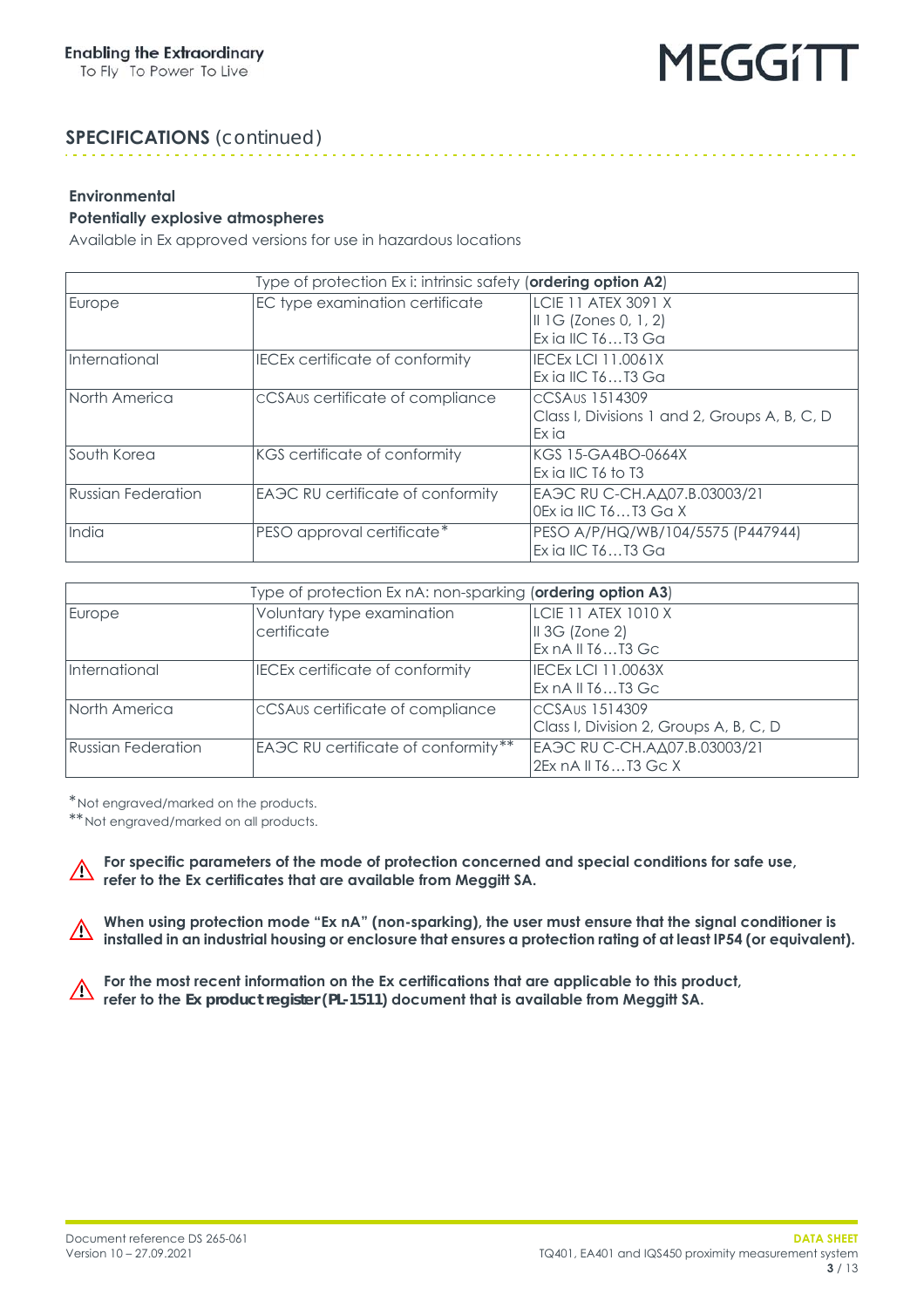. . . . . . . . . . . . . . . . .

### **SPECIFICATIONS** *(continued)*

#### **Environmental**

#### <span id="page-2-0"></span>**Potentially explosive atmospheres**

Available in Ex approved versions for use in hazardous locations

| Type of protection Ex i: intrinsic safety (ordering option A2) |                                                |                                                                          |
|----------------------------------------------------------------|------------------------------------------------|--------------------------------------------------------------------------|
| Europe                                                         | EC type examination certificate                | LCIE 11 ATEX 3091 X<br>$II$ 1G (Zones 0, 1, 2)<br>Ex ia IIC $T6T3$ Ga    |
| International                                                  | <b>IECEx certificate of conformity</b>         | <b>IECEX LCI 11.0061X</b><br>Ex ia IIC T6T3 Ga                           |
| North America                                                  | cCSAUs certificate of compliance               | CCSAus 1514309<br>Class I, Divisions 1 and 2, Groups A, B, C, D<br>Ex ia |
| South Korea                                                    | KGS certificate of conformity                  | kgs 15-ga4b0-0664X<br>Ex ia IIC T6 to T3                                 |
| Russian Federation                                             | EA <sub>3</sub> C RU certificate of conformity | EA 3C RU C-CH. A Δ07. B. 03003/21<br>OEx ia IIC T6T3 Ga X                |
| India                                                          | PESO approval certificate*                     | PESO A/P/HQ/WB/104/5575 (P447944)<br>Exial IC T6T3 Ga                    |

| Type of protection Ex nA: non-sparking (ordering option A3) |                                           |                                                                    |
|-------------------------------------------------------------|-------------------------------------------|--------------------------------------------------------------------|
| Europe                                                      | Voluntary type examination<br>certificate | LCIE 11 ATEX 1010 X<br>$\parallel$ 3G (Zone 2)<br>Ex nA II T6T3 Gc |
| International                                               | <b>IECEx certificate of conformity</b>    | <b>IECEX LCI 11.0063X</b><br>Ex nA II T6T3 Gc                      |
| North America                                               | cCSAus certificate of compliance          | CCSAus 1514309<br>Class I, Division 2, Groups A, B, C, D           |
| Russian Federation                                          | EAGC RU certificate of conformity**       | ЕАЭС RU C-CH.AД07.B.03003/21<br>2Ex nA II T6T3 Gc X                |

\*Not engraved/marked on the products.

\*\*Not engraved/marked on all products.

**For specific parameters of the mode of protection concerned and special conditions for safe use,**  $\bigwedge$ **refer to the Ex certificates that are available from Meggitt SA.**

When using protection mode "Ex nA" (non-sparking), the user must ensure that the signal conditioner is  $\triangle$ **installed in an industrial housing or enclosure that ensures a protection rating of at least IP54 (or equivalent).**

**For the most recent information on the Ex certifications that are applicable to this product,**  $\triangle$ **refer to the** *Ex product register* **(***PL-1511***) document that is available from Meggitt SA.**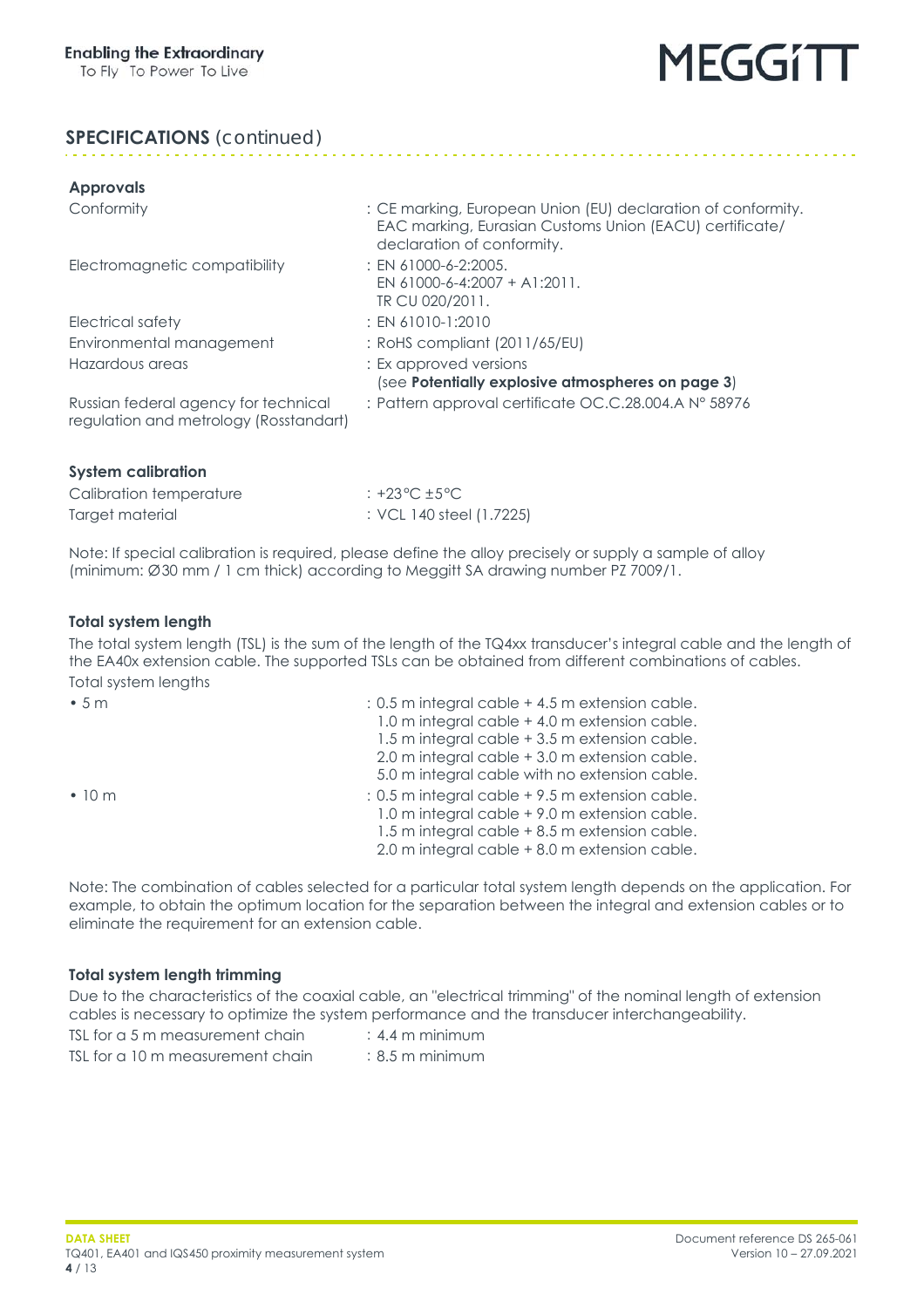#### **SPECIFICATIONS** *(continued)*

| <b>Approvals</b>                                                               |                                                                                                                                                       |
|--------------------------------------------------------------------------------|-------------------------------------------------------------------------------------------------------------------------------------------------------|
| Conformity                                                                     | : CE marking, European Union (EU) declaration of conformity.<br>EAC marking, Eurasian Customs Union (EACU) certificate/<br>declaration of conformity. |
| Electromagnetic compatibility                                                  | $:$ EN 61000-6-2:2005.<br>EN 61000-6-4:2007 + A1:2011.<br>TR CU 020/2011.                                                                             |
| Electrical safety                                                              | $: EN 61010-1:2010$                                                                                                                                   |
| Environmental management                                                       | : RoHS compliant (2011/65/EU)                                                                                                                         |
| Hazardous areas                                                                | : Ex approved versions<br>(see Potentially explosive atmospheres on page 3)                                                                           |
| Russian federal agency for technical<br>regulation and metrology (Rosstandart) | : Pattern approval certificate OC.C.28.004.A N° 58976                                                                                                 |

| Calibration temperature | : +23 °C $\pm$ 5 °C      |
|-------------------------|--------------------------|
| Target material         | : VCL 140 steel (1.7225) |

Note: If special calibration is required, please define the alloy precisely or supply a sample of alloy (minimum: Ø30 mm / 1 cm thick) according to Meggitt SA drawing number PZ 7009/1.

#### <span id="page-3-0"></span>**Total system length**

**System calibration**

The total system length (TSL) is the sum of the length of the TQ4xx transducer's integral cable and the length of the EA40x extension cable. The supported TSLs can be obtained from different combinations of cables. Total system lengths

| •5m          | : 0.5 m integral cable + 4.5 m extension cable.<br>1.0 m integral cable + 4.0 m extension cable.<br>1.5 m integral cable + 3.5 m extension cable.<br>2.0 m integral cable + 3.0 m extension cable.<br>5.0 m integral cable with no extension cable. |
|--------------|-----------------------------------------------------------------------------------------------------------------------------------------------------------------------------------------------------------------------------------------------------|
| $\cdot$ 10 m | : 0.5 m integral cable +9.5 m extension cable.<br>1.0 m integral cable +9.0 m extension cable.<br>1.5 m integral cable + 8.5 m extension cable.<br>2.0 m integral cable + 8.0 m extension cable.                                                    |

Note: The combination of cables selected for a particular total system length depends on the application. For example, to obtain the optimum location for the separation between the integral and extension cables or to eliminate the requirement for an extension cable.

#### <span id="page-3-1"></span>**Total system length trimming**

Due to the characteristics of the coaxial cable, an "electrical trimming" of the nominal length of extension cables is necessary to optimize the system performance and the transducer interchangeability.

TSL for  $a$  5 m measurement chain  $a$   $44$  m minimum TSL for a 10 m measurement chain  $\cdot$  8.5 m minimum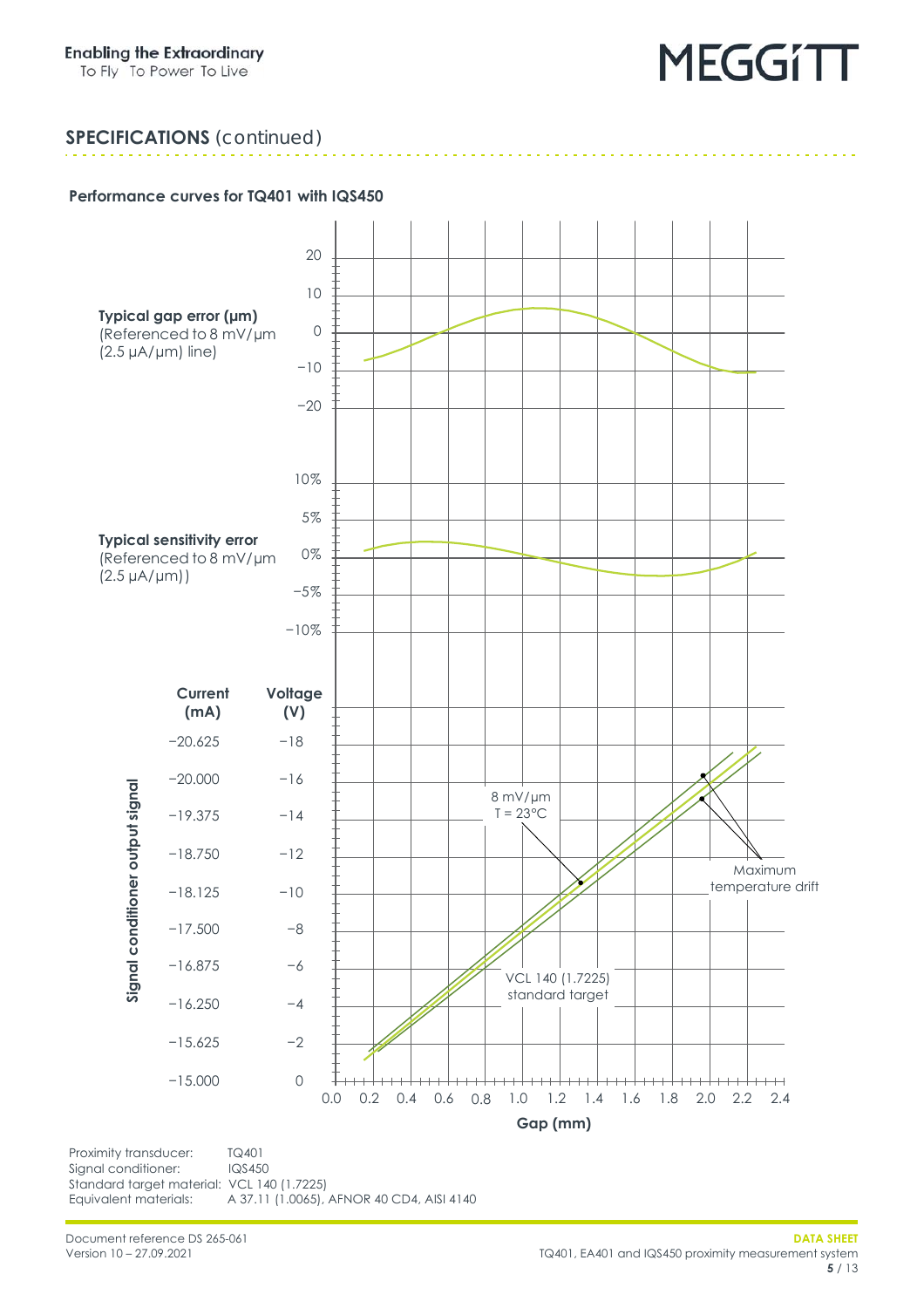#### **SPECIFICATIONS** *(continued)*

#### <span id="page-4-0"></span>**Performance curves for TQ401 with IQS450**



Signal conditioner: IQS450 Standard target material: VCL 140 (1.7225)<br>Equivalent materials: A 37.11 (1.0065), A 37.11 (1.0065), AFNOR 40 CD4, AISI 4140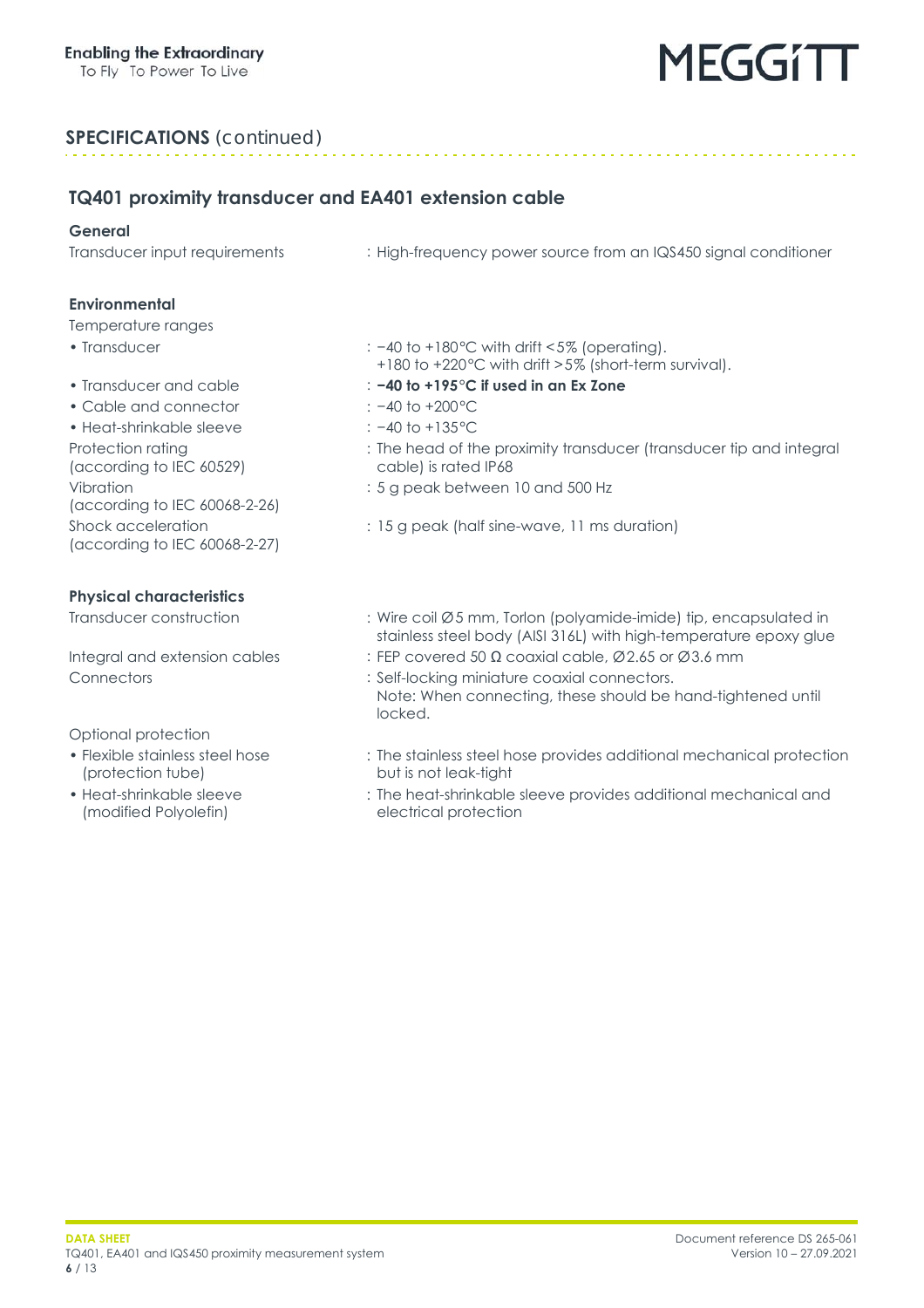#### **SPECIFICATIONS** *(continued)*

#### **TQ401 proximity transducer and EA401 extension cable**

#### **General**

Transducer input requirements : High-frequency power source from an IQS450 signal conditioner

#### **Environmental**

#### Temperature ranges

- 
- 
- Cable and connector : −40 to +200°C
- Heat-shrinkable sleeve : −40 to +135°C Protection rating (according to IEC 60529) Vibration (according to IEC 60068-2-26) Shock acceleration (according to IEC 60068-2-27)

#### **Physical characteristics**

Optional protection

- Flexible stainless steel hose (protection tube)
- Heat-shrinkable sleeve (modified Polyolefin)
- Transducer : −40 to +180°C with drift <5% (operating).
	- +180 to +220°C with drift >5% (short-term survival).
- Transducer and cable : **−40 to +195°C if used in an Ex Zone**
	-
	-
	- : The head of the proximity transducer (transducer tip and integral cable) is rated IP68
	- : 5 g peak between 10 and 500 Hz
	- : 15 g peak (half sine-wave, 11 ms duration)
- Transducer construction : Wire coil Ø5 mm, Torlon (polyamide-imide) tip, encapsulated in stainless steel body (AISI 316L) with high-temperature epoxy glue
- Integral and extension cables : FEP covered 50  $\Omega$  coaxial cable, Ø2.65 or Ø3.6 mm
- Connectors : Self-locking miniature coaxial connectors. Note: When connecting, these should be hand-tightened until locked.
	- : The stainless steel hose provides additional mechanical protection but is not leak-tight
	- : The heat-shrinkable sleeve provides additional mechanical and electrical protection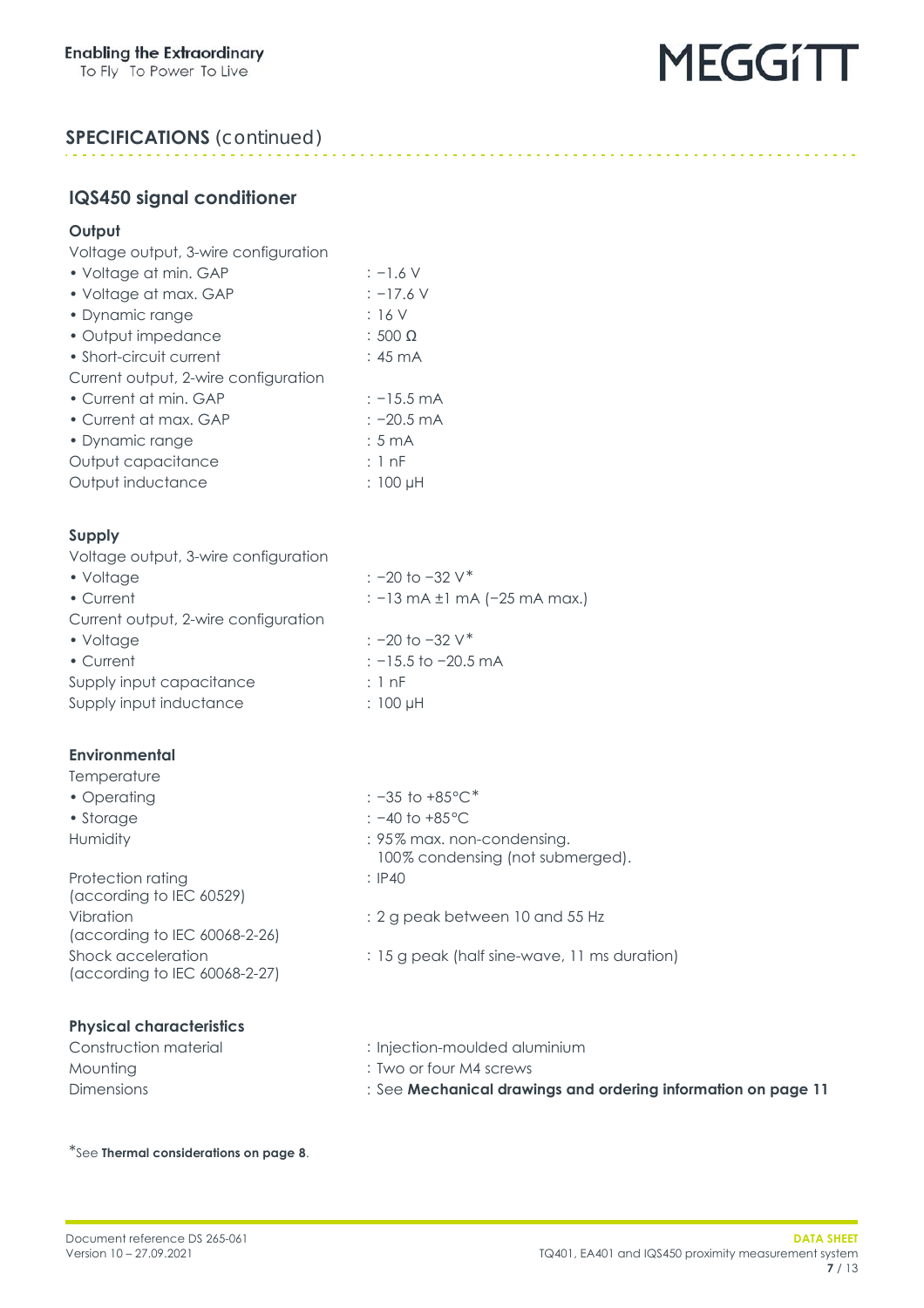

#### **SPECIFICATIONS** *(continued)*

#### **IQS450 signal conditioner**

#### **Output**

Voltage output, 3-wire configuration

| • Voltage at min. GAP                | $: -1.6$ V           |
|--------------------------------------|----------------------|
| • Voltage at max. GAP                | $: -17.6$ V          |
| • Dynamic range                      | :16V                 |
| • Output impedance                   | $: 500 \Omega$       |
| • Short-circuit current              | $:45 \text{ mA}$     |
| Current output, 2-wire configuration |                      |
| • Current at min. GAP                | $: -15.5 \text{ mA}$ |
| • Current at max. GAP                | $: -20.5 \text{ mA}$ |
| • Dynamic range                      | $:5 \text{ mA}$      |
| Output capacitance                   | : 1nF                |
| Output inductance                    | : 100 µH             |
|                                      |                      |

#### **Supply**

Voltage output, 3-wire configuration • Voltage : −20 to −32 V\* • Current : −13 mA ±1 mA (-25 mA max.) Current output, 2-wire configuration • Voltage : −20 to −32 V\* • Current : −15.5 to −20.5 mA Supply input capacitance : 1 nF Supply input inductance : 100 µH

#### **Environmental**

#### **Temperature**

• Operating : −35 to +85°C\* • Storage : −40 to +85 °C Humidity **Humidity** : 95% max. non-condensing. Protection rating (according to IEC 60529)

Vibration (according to IEC 60068-2-26) Shock acceleration (according to IEC 60068-2-27)

#### **Physical characteristics**

100% condensing (not submerged). : IP40

- : 2 g peak between 10 and 55 Hz
- : 15 g peak (half sine-wave, 11 ms duration)
- Construction material : Injection-moulded aluminium
- Mounting : Two or four M4 screws
- Dimensions : See **Mechanical drawings and ordering information [on page](#page-10-0) 11**

\*See **[Thermal considerations on page](#page-7-0) 8**.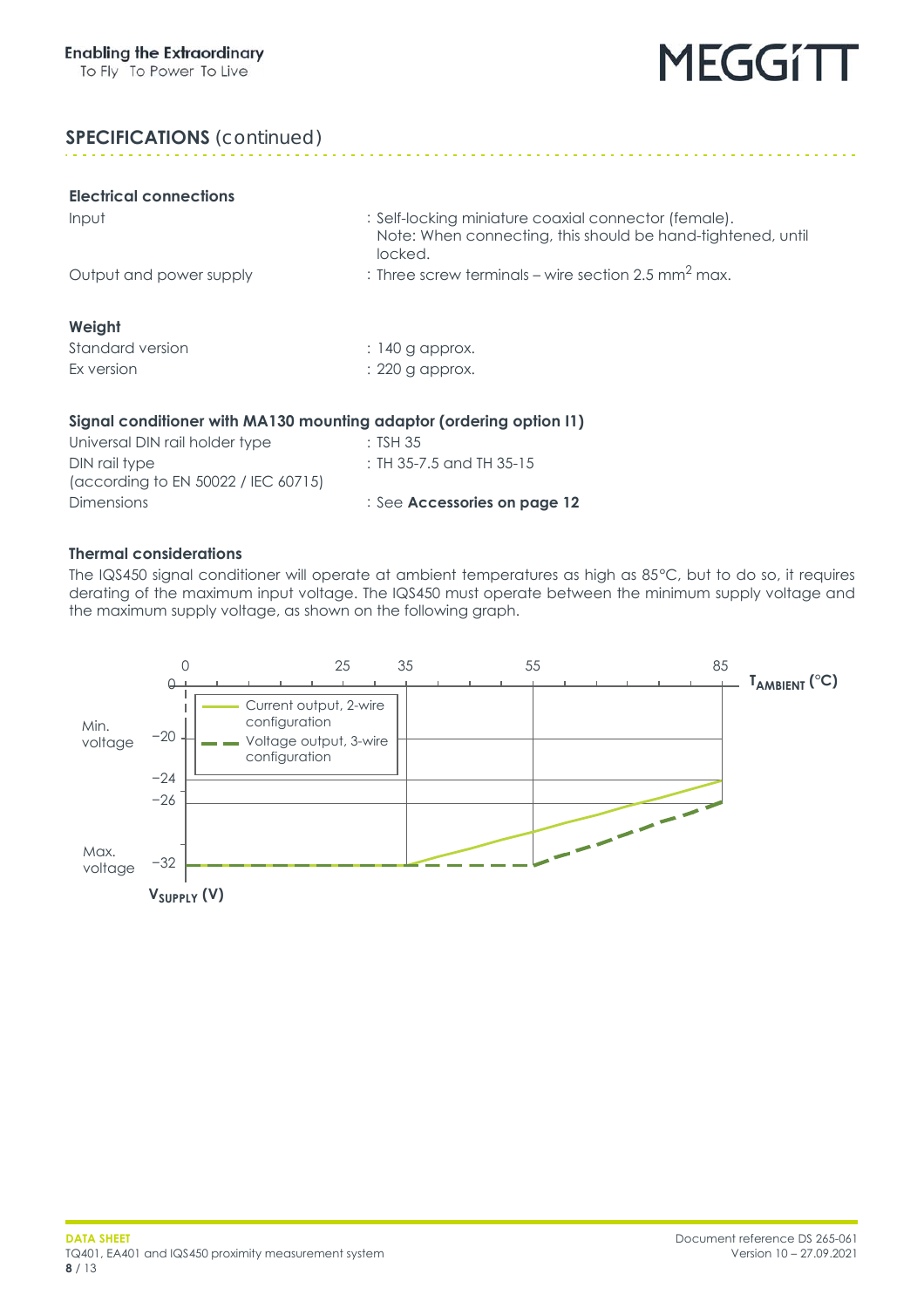. . . . . . . . . . . . . . . . . . . .

#### **SPECIFICATIONS** *(continued)*

| <b>Electrical connections</b>                                       |                                                                                                                                |
|---------------------------------------------------------------------|--------------------------------------------------------------------------------------------------------------------------------|
| Input                                                               | : Self-locking miniature coaxial connector (female).<br>Note: When connecting, this should be hand-tightened, until<br>locked. |
| Output and power supply                                             | : Three screw terminals – wire section 2.5 mm <sup>2</sup> max.                                                                |
| Weight                                                              |                                                                                                                                |
| Standard version                                                    | $: 140$ g approx.                                                                                                              |
| Ex version                                                          | : 220 g approx.                                                                                                                |
| Signal conditioner with MA130 mounting adaptor (ordering option I1) |                                                                                                                                |
| Universal DIN rail holder type                                      | :TSH 35                                                                                                                        |

nolder type DIN rail type (according to EN 50022 / IEC 60715) Dimensions : See **[Accessories on page](#page-11-0) 12**

: TH 35-7.5 and TH 35-15

#### <span id="page-7-0"></span>**Thermal considerations**

The IQS450 signal conditioner will operate at ambient temperatures as high as 85°C, but to do so, it requires derating of the maximum input voltage. The IQS450 must operate between the minimum supply voltage and the maximum supply voltage, as shown on the following graph.

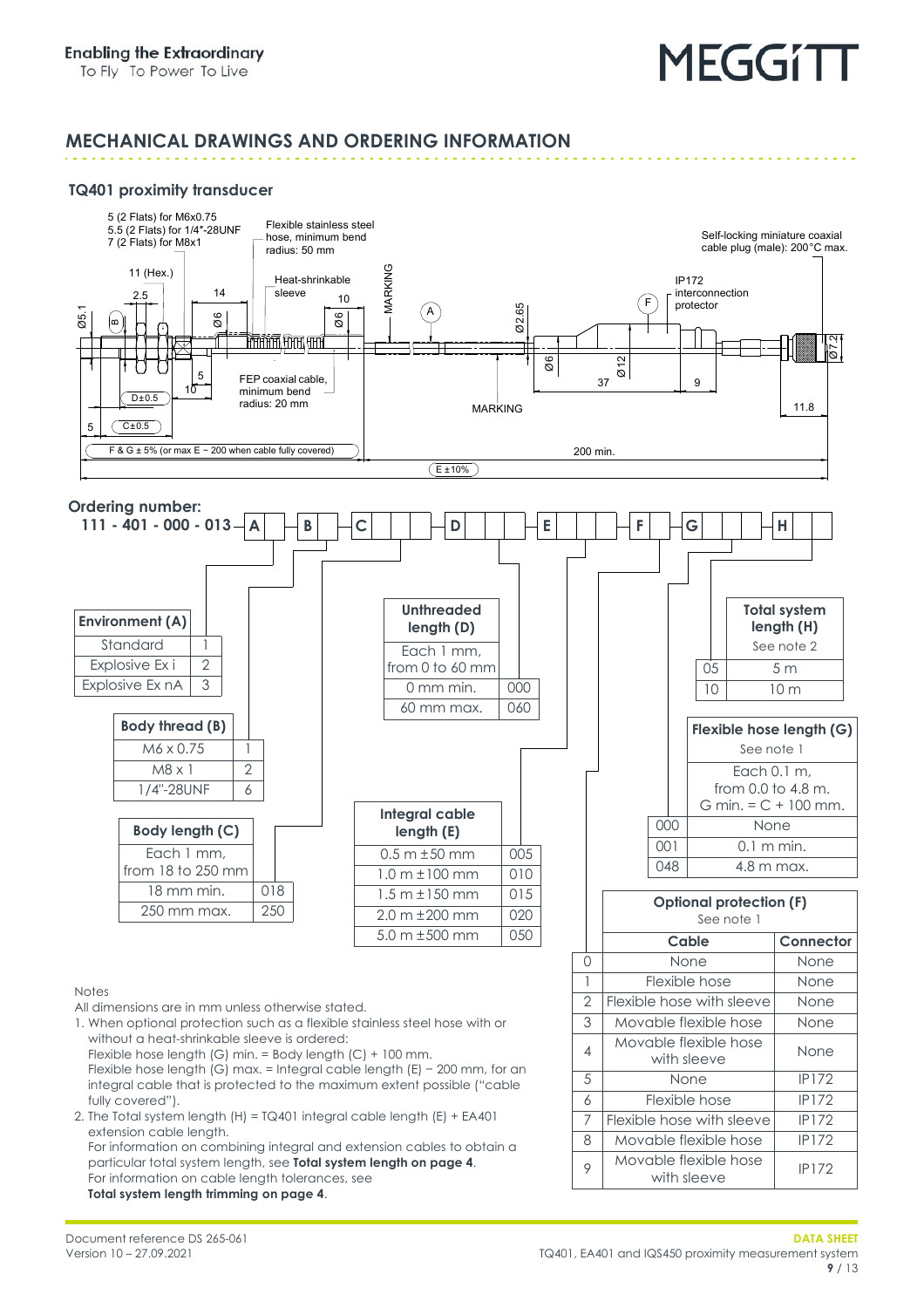#### **MECHANICAL DRAWINGS AND ORDERING INFORMATION**

#### **TQ401 proximity transducer**

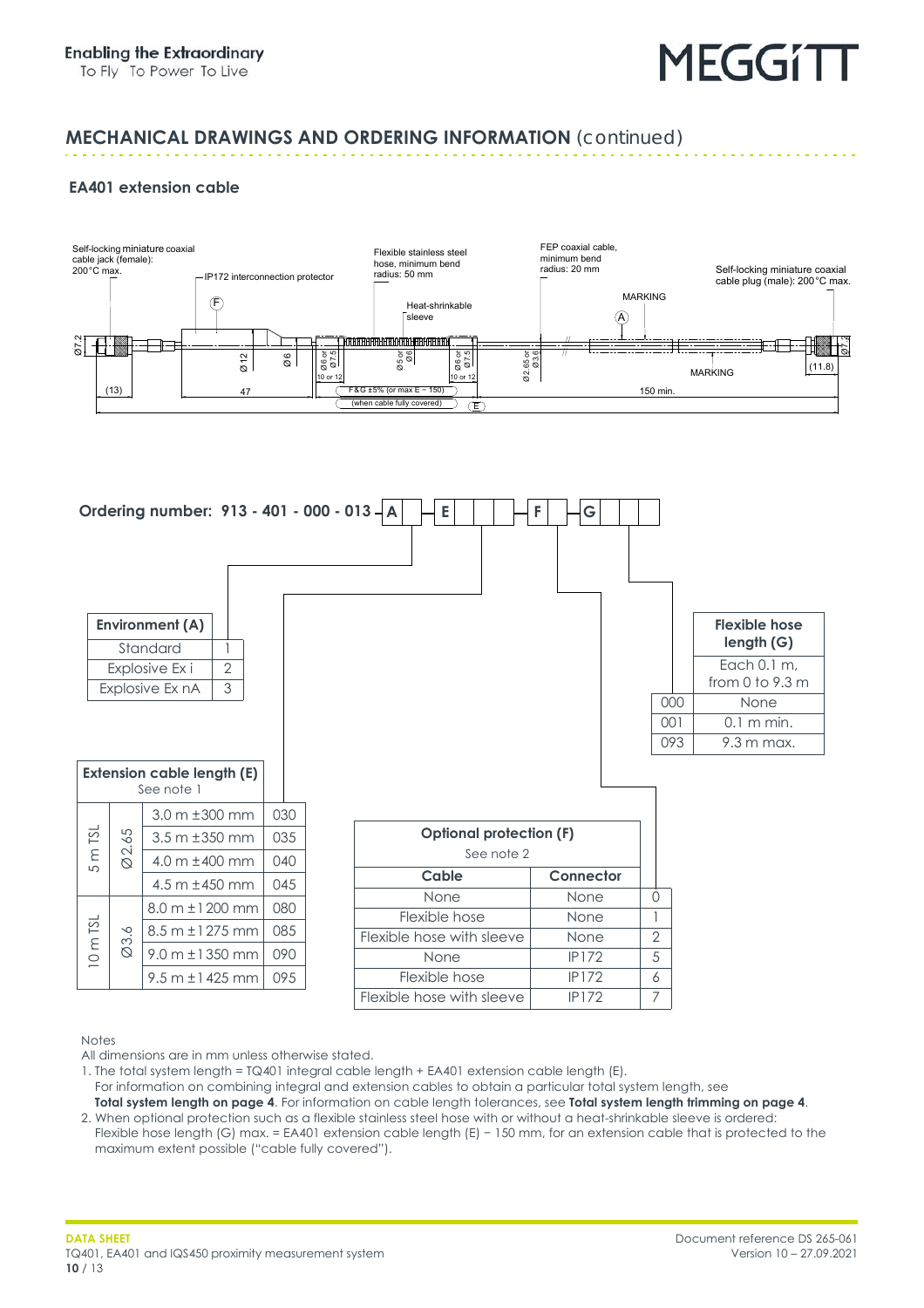#### **MECHANICAL DRAWINGS AND ORDERING INFORMATION** *(continued)*

#### **EA401 extension cable**





Notes

All dimensions are in mm unless otherwise stated.

1. The total system length = TQ401 integral cable length + EA401 extension cable length (E).

- For information on combining integral and extension cables to obtain a particular total system length, see **[Total system length on page](#page-3-0) 4**. For information on cable length tolerances, see **[Total system length trimming on page](#page-3-1) 4**.
- 2. When optional protection such as a flexible stainless steel hose with or without a heat-shrinkable sleeve is ordered: Flexible hose length (G) max. = EA401 extension cable length (E) − 150 mm, for an extension cable that is protected to the maximum extent possible ("cable fully covered").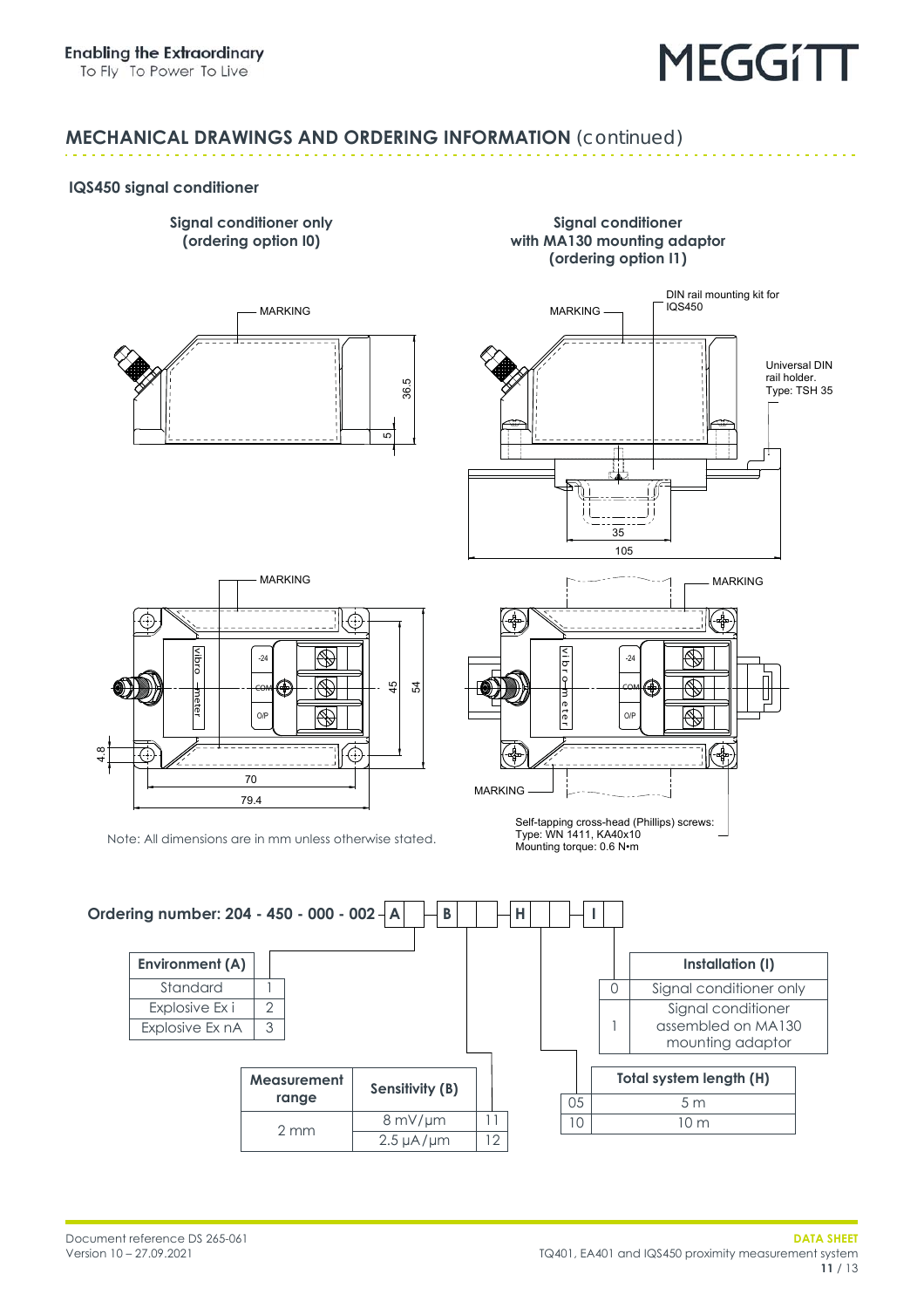DIN rail mounting kit for

#### **MECHANICAL DRAWINGS AND ORDERING INFORMATION** *(continued)*

#### <span id="page-10-0"></span>**IQS450 signal conditioner**





**Signal conditioner with MA130 mounting adaptor (ordering option I1)**



ঞ<br>ব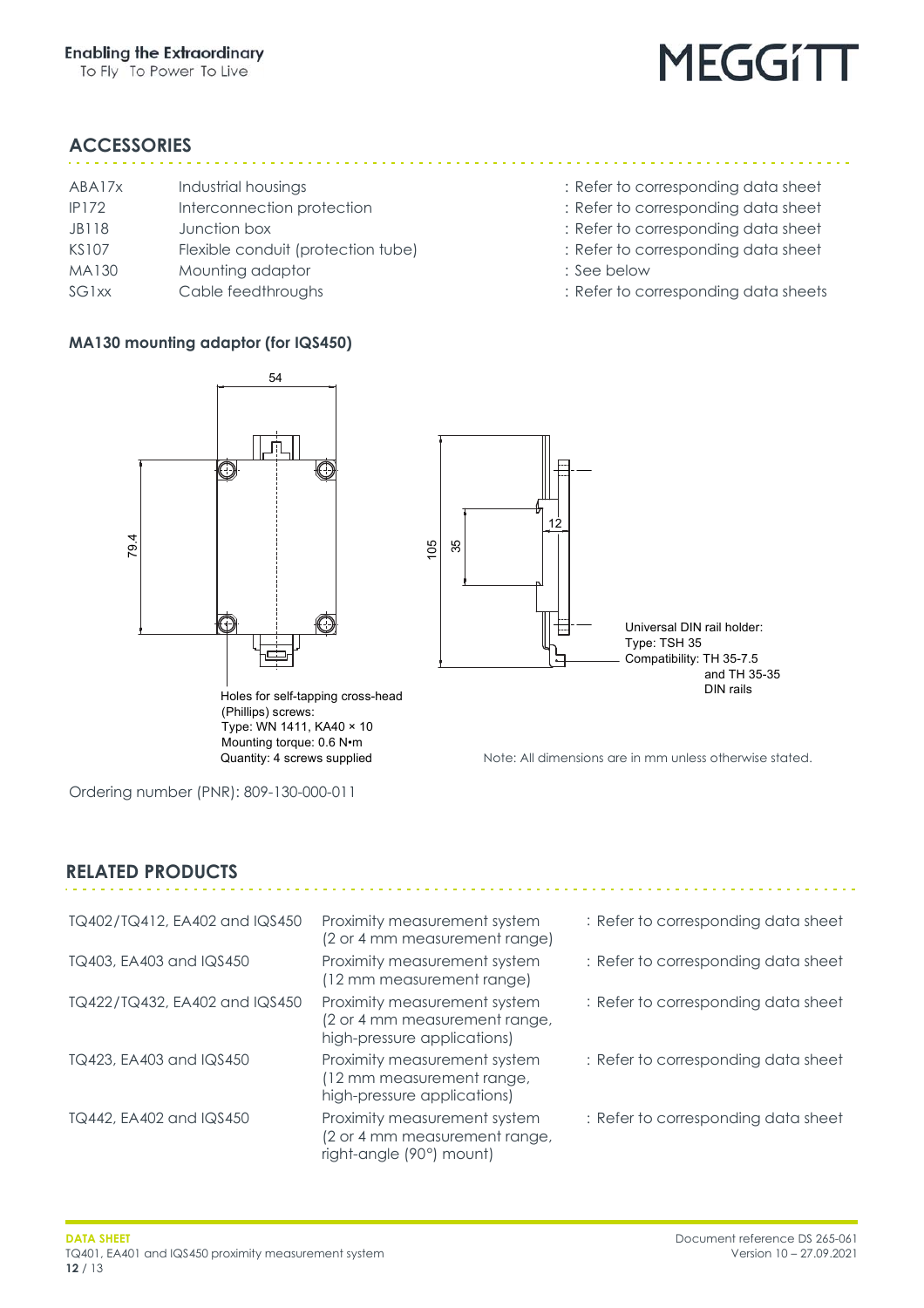

#### <span id="page-11-0"></span>**ACCESSORIES**

| ABA17x             | Industrial housings                |
|--------------------|------------------------------------|
| <b>IP172</b>       | Interconnection protection         |
| JB118              | Junction box                       |
| <b>KS107</b>       | Flexible conduit (protection tube) |
| MA130              | Mounting adaptor                   |
| SG <sub>1</sub> xx | Cable feedthroughs                 |
|                    |                                    |

#### **MA130 mounting adaptor (for IQS450)**

- : Refer to corresponding data sheet
- : Refer to corresponding data sheet
- : Refer to corresponding data sheet
- : Refer to corresponding data sheet
	-
- : See below
- : Refer to corresponding data sheets



Note: All dimensions are in mm unless otherwise stated.

Ordering number (PNR): 809-130-000-011

#### **RELATED PRODUCTS**

| TQ402/TQ412, EA402 and IQS450 | Proximity measurement system<br>(2 or 4 mm measurement range)                                | : Refer to corresponding data sheet |
|-------------------------------|----------------------------------------------------------------------------------------------|-------------------------------------|
| TQ403, EA403 and IQS450       | Proximity measurement system<br>(12 mm measurement range)                                    | : Refer to corresponding data sheet |
| TQ422/TQ432, EA402 and IQS450 | Proximity measurement system<br>(2 or 4 mm measurement range,<br>high-pressure applications) | : Refer to corresponding data sheet |
| TQ423, EA403 and IQS450       | Proximity measurement system<br>(12 mm measurement range,<br>high-pressure applications)     | : Refer to corresponding data sheet |
| TQ442, EA402 and IQS450       | Proximity measurement system<br>(2 or 4 mm measurement range,<br>right-angle (90°) mount)    | : Refer to corresponding data sheet |